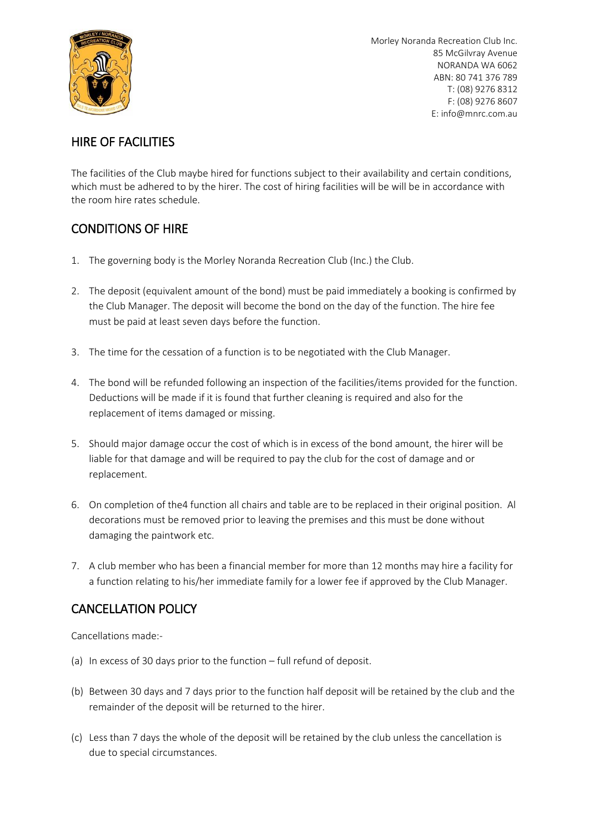

# HIRE OF FACILITIES

The facilities of the Club maybe hired for functions subject to their availability and certain conditions, which must be adhered to by the hirer. The cost of hiring facilities will be will be in accordance with the room hire rates schedule.

### CONDITIONS OF HIRE

- 1. The governing body is the Morley Noranda Recreation Club (Inc.) the Club.
- 2. The deposit (equivalent amount of the bond) must be paid immediately a booking is confirmed by the Club Manager. The deposit will become the bond on the day of the function. The hire fee must be paid at least seven days before the function.
- 3. The time for the cessation of a function is to be negotiated with the Club Manager.
- 4. The bond will be refunded following an inspection of the facilities/items provided for the function. Deductions will be made if it is found that further cleaning is required and also for the replacement of items damaged or missing.
- 5. Should major damage occur the cost of which is in excess of the bond amount, the hirer will be liable for that damage and will be required to pay the club for the cost of damage and or replacement.
- 6. On completion of the4 function all chairs and table are to be replaced in their original position. Al decorations must be removed prior to leaving the premises and this must be done without damaging the paintwork etc.
- 7. A club member who has been a financial member for more than 12 months may hire a facility for a function relating to his/her immediate family for a lower fee if approved by the Club Manager.

# CANCELLATION POLICY

Cancellations made:-

- (a) In excess of 30 days prior to the function full refund of deposit.
- (b) Between 30 days and 7 days prior to the function half deposit will be retained by the club and the remainder of the deposit will be returned to the hirer.
- (c) Less than 7 days the whole of the deposit will be retained by the club unless the cancellation is due to special circumstances.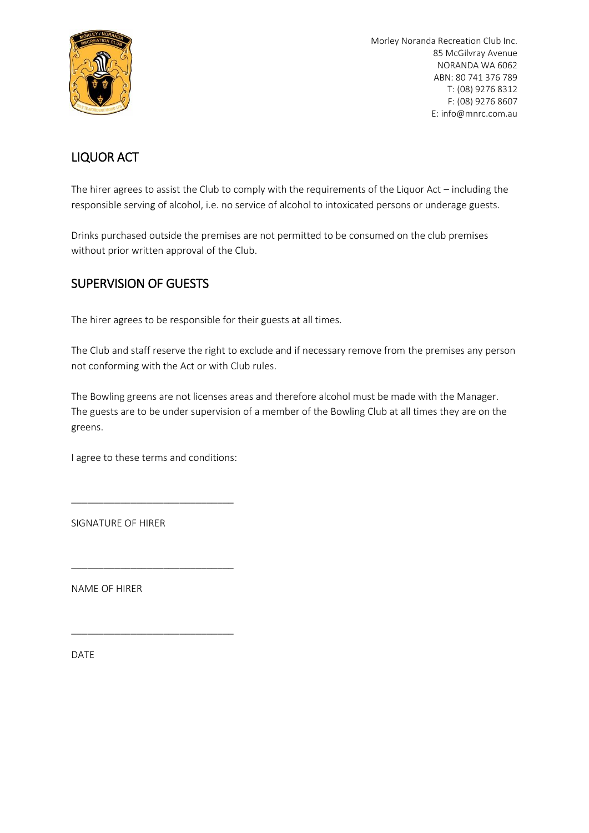

## LIQUOR ACT

The hirer agrees to assist the Club to comply with the requirements of the Liquor Act – including the responsible serving of alcohol, i.e. no service of alcohol to intoxicated persons or underage guests.

Drinks purchased outside the premises are not permitted to be consumed on the club premises without prior written approval of the Club.

### SUPERVISION OF GUESTS

The hirer agrees to be responsible for their guests at all times.

The Club and staff reserve the right to exclude and if necessary remove from the premises any person not conforming with the Act or with Club rules.

The Bowling greens are not licenses areas and therefore alcohol must be made with the Manager. The guests are to be under supervision of a member of the Bowling Club at all times they are on the greens.

I agree to these terms and conditions:

\_\_\_\_\_\_\_\_\_\_\_\_\_\_\_\_\_\_\_\_\_\_\_\_\_\_\_\_\_\_

\_\_\_\_\_\_\_\_\_\_\_\_\_\_\_\_\_\_\_\_\_\_\_\_\_\_\_\_\_\_

\_\_\_\_\_\_\_\_\_\_\_\_\_\_\_\_\_\_\_\_\_\_\_\_\_\_\_\_\_\_

SIGNATURE OF HIRER

NAME OF HIRER

DATE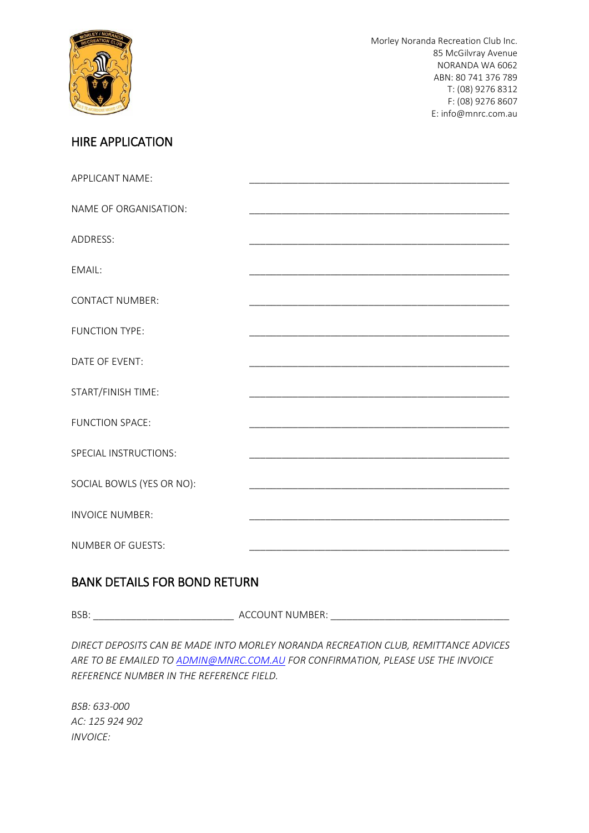

## HIRE APPLICATION

| APPLICANT NAME:           |  |
|---------------------------|--|
| NAME OF ORGANISATION:     |  |
| ADDRESS:                  |  |
| EMAIL:                    |  |
|                           |  |
| <b>CONTACT NUMBER:</b>    |  |
| <b>FUNCTION TYPE:</b>     |  |
| DATE OF EVENT:            |  |
| START/FINISH TIME:        |  |
| <b>FUNCTION SPACE:</b>    |  |
| SPECIAL INSTRUCTIONS:     |  |
| SOCIAL BOWLS (YES OR NO): |  |
| <b>INVOICE NUMBER:</b>    |  |
| <b>NUMBER OF GUESTS:</b>  |  |

#### BANK DETAILS FOR BOND RETURN

BSB: \_\_\_\_\_\_\_\_\_\_\_\_\_\_\_\_\_\_\_\_\_\_\_\_\_\_ ACCOUNT NUMBER: \_\_\_\_\_\_\_\_\_\_\_\_\_\_\_\_\_\_\_\_\_\_\_\_\_\_\_\_\_\_\_\_\_

*DIRECT DEPOSITS CAN BE MADE INTO MORLEY NORANDA RECREATION CLUB, REMITTANCE ADVICES ARE TO BE EMAILED TO [ADMIN@MNRC.COM.AU](mailto:ADMIN@MNRC.COM.AU) FOR CONFIRMATION, PLEASE USE THE INVOICE REFERENCE NUMBER IN THE REFERENCE FIELD.*

*BSB: 633-000 AC: 125 924 902 INVOICE:*